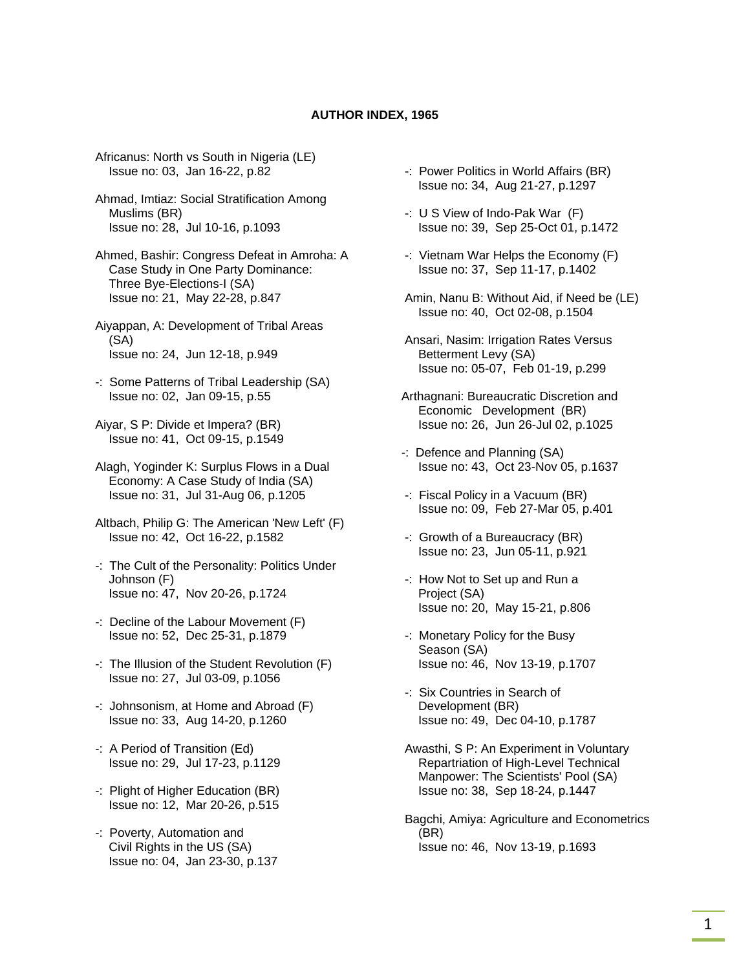## **AUTHOR INDEX, 1965**

- Africanus: North vs South in Nigeria (LE) Issue no: 03, Jan 16-22, p.82
- Ahmad, Imtiaz: Social Stratification Among Muslims (BR) Issue no: 28, Jul 10-16, p.1093
- Ahmed, Bashir: Congress Defeat in Amroha: A Case Study in One Party Dominance: Three Bye-Elections-I (SA) Issue no: 21, May 22-28, p.847
- Aiyappan, A: Development of Tribal Areas (SA) Issue no: 24, Jun 12-18, p.949
- -: Some Patterns of Tribal Leadership (SA) Issue no: 02, Jan 09-15, p.55
- Aiyar, S P: Divide et Impera? (BR) Issue no: 41, Oct 09-15, p.1549
- Alagh, Yoginder K: Surplus Flows in a Dual Economy: A Case Study of India (SA) Issue no: 31, Jul 31-Aug 06, p.1205
- Altbach, Philip G: The American 'New Left' (F) Issue no: 42, Oct 16-22, p.1582
- -: The Cult of the Personality: Politics Under Johnson (F) Issue no: 47, Nov 20-26, p.1724
- -: Decline of the Labour Movement (F) Issue no: 52, Dec 25-31, p.1879
- -: The Illusion of the Student Revolution (F) Issue no: 27, Jul 03-09, p.1056
- -: Johnsonism, at Home and Abroad (F) Issue no: 33, Aug 14-20, p.1260
- -: A Period of Transition (Ed) Issue no: 29, Jul 17-23, p.1129
- -: Plight of Higher Education (BR) Issue no: 12, Mar 20-26, p.515
- -: Poverty, Automation and Civil Rights in the US (SA) Issue no: 04, Jan 23-30, p.137
- -: Power Politics in World Affairs (BR) Issue no: 34, Aug 21-27, p.1297
- -: U S View of Indo-Pak War (F) Issue no: 39, Sep 25-Oct 01, p.1472
- -: Vietnam War Helps the Economy (F) Issue no: 37, Sep 11-17, p.1402
- Amin, Nanu B: Without Aid, if Need be (LE) Issue no: 40, Oct 02-08, p.1504
- Ansari, Nasim: Irrigation Rates Versus Betterment Levy (SA) Issue no: 05-07, Feb 01-19, p.299
- Arthagnani: Bureaucratic Discretion and Economic Development (BR) Issue no: 26, Jun 26-Jul 02, p.1025
- -: Defence and Planning (SA) Issue no: 43, Oct 23-Nov 05, p.1637
- -: Fiscal Policy in a Vacuum (BR) Issue no: 09, Feb 27-Mar 05, p.401
- -: Growth of a Bureaucracy (BR) Issue no: 23, Jun 05-11, p.921
- -: How Not to Set up and Run a Project (SA) Issue no: 20, May 15-21, p.806
- -: Monetary Policy for the Busy Season (SA) Issue no: 46, Nov 13-19, p.1707
- -: Six Countries in Search of Development (BR) Issue no: 49, Dec 04-10, p.1787
- Awasthi, S P: An Experiment in Voluntary Repartriation of High-Level Technical Manpower: The Scientists' Pool (SA) Issue no: 38, Sep 18-24, p.1447
- Bagchi, Amiya: Agriculture and Econometrics (BR) Issue no: 46, Nov 13-19, p.1693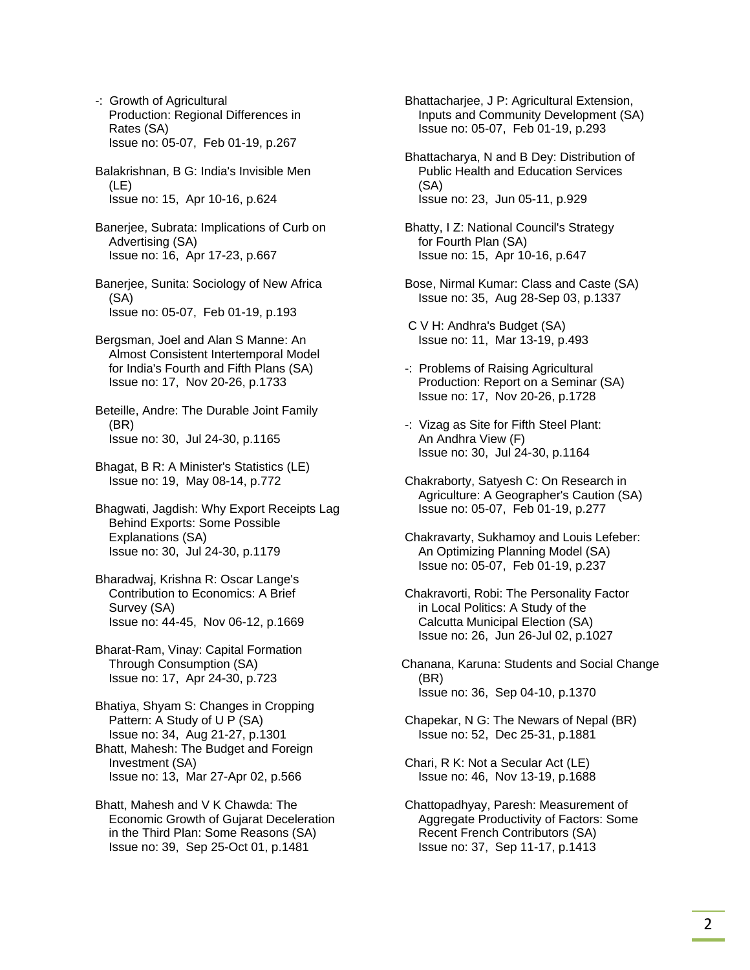-: Growth of Agricultural Production: Regional Differences in Rates (SA) Issue no: 05-07, Feb 01-19, p.267

 Balakrishnan, B G: India's Invisible Men (LE) Issue no: 15, Apr 10-16, p.624

 Banerjee, Subrata: Implications of Curb on Advertising (SA) Issue no: 16, Apr 17-23, p.667

 Banerjee, Sunita: Sociology of New Africa (SA) Issue no: 05-07, Feb 01-19, p.193

 Bergsman, Joel and Alan S Manne: An Almost Consistent Intertemporal Model for India's Fourth and Fifth Plans (SA) Issue no: 17, Nov 20-26, p.1733

 Beteille, Andre: The Durable Joint Family (BR) Issue no: 30, Jul 24-30, p.1165

 Bhagat, B R: A Minister's Statistics (LE) Issue no: 19, May 08-14, p.772

 Bhagwati, Jagdish: Why Export Receipts Lag Behind Exports: Some Possible Explanations (SA) Issue no: 30, Jul 24-30, p.1179

 Bharadwaj, Krishna R: Oscar Lange's Contribution to Economics: A Brief Survey (SA) Issue no: 44-45, Nov 06-12, p.1669

 Bharat-Ram, Vinay: Capital Formation Through Consumption (SA) Issue no: 17, Apr 24-30, p.723

 Bhatiya, Shyam S: Changes in Cropping Pattern: A Study of U P (SA) Issue no: 34, Aug 21-27, p.1301 Bhatt, Mahesh: The Budget and Foreign Investment (SA) Issue no: 13, Mar 27-Apr 02, p.566

 Bhatt, Mahesh and V K Chawda: The Economic Growth of Gujarat Deceleration in the Third Plan: Some Reasons (SA) Issue no: 39, Sep 25-Oct 01, p.1481

 Bhattacharjee, J P: Agricultural Extension, Inputs and Community Development (SA) Issue no: 05-07, Feb 01-19, p.293

 Bhattacharya, N and B Dey: Distribution of Public Health and Education Services (SA) Issue no: 23, Jun 05-11, p.929

 Bhatty, I Z: National Council's Strategy for Fourth Plan (SA) Issue no: 15, Apr 10-16, p.647

 Bose, Nirmal Kumar: Class and Caste (SA) Issue no: 35, Aug 28-Sep 03, p.1337

 C V H: Andhra's Budget (SA) Issue no: 11, Mar 13-19, p.493

 -: Problems of Raising Agricultural Production: Report on a Seminar (SA) Issue no: 17, Nov 20-26, p.1728

 -: Vizag as Site for Fifth Steel Plant: An Andhra View (F) Issue no: 30, Jul 24-30, p.1164

 Chakraborty, Satyesh C: On Research in Agriculture: A Geographer's Caution (SA) Issue no: 05-07, Feb 01-19, p.277

 Chakravarty, Sukhamoy and Louis Lefeber: An Optimizing Planning Model (SA) Issue no: 05-07, Feb 01-19, p.237

 Chakravorti, Robi: The Personality Factor in Local Politics: A Study of the Calcutta Municipal Election (SA) Issue no: 26, Jun 26-Jul 02, p.1027

Chanana, Karuna: Students and Social Change (BR) Issue no: 36, Sep 04-10, p.1370

 Chapekar, N G: The Newars of Nepal (BR) Issue no: 52, Dec 25-31, p.1881

 Chari, R K: Not a Secular Act (LE) Issue no: 46, Nov 13-19, p.1688

 Chattopadhyay, Paresh: Measurement of Aggregate Productivity of Factors: Some Recent French Contributors (SA) Issue no: 37, Sep 11-17, p.1413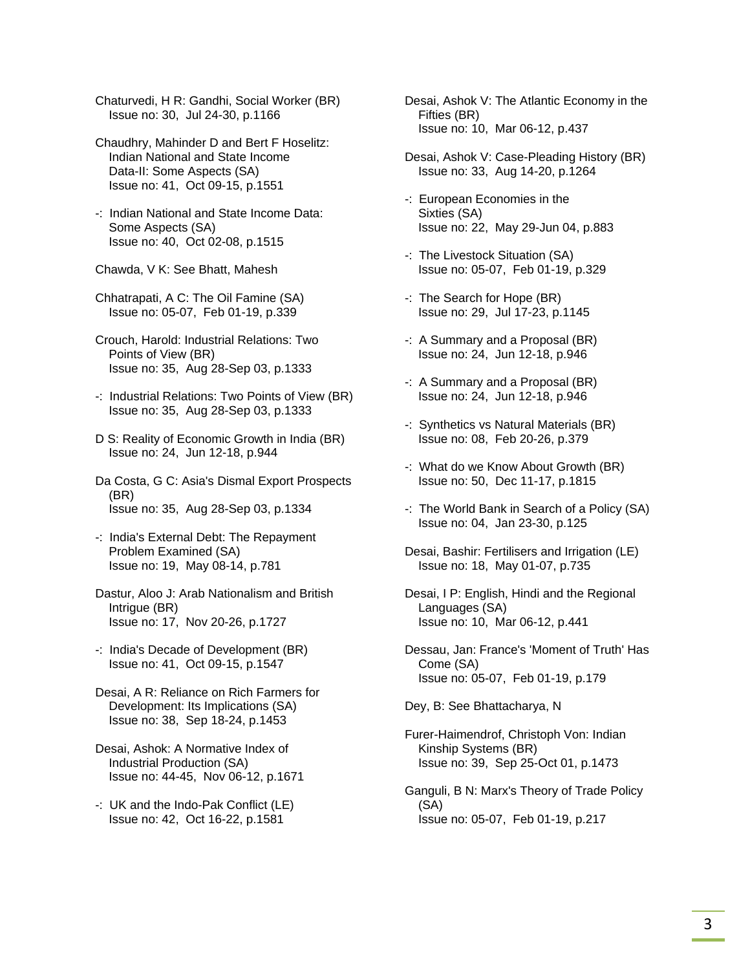Chaturvedi, H R: Gandhi, Social Worker (BR) Issue no: 30, Jul 24-30, p.1166

 Chaudhry, Mahinder D and Bert F Hoselitz: Indian National and State Income Data-II: Some Aspects (SA) Issue no: 41, Oct 09-15, p.1551

 -: Indian National and State Income Data: Some Aspects (SA) Issue no: 40, Oct 02-08, p.1515

Chawda, V K: See Bhatt, Mahesh

 Chhatrapati, A C: The Oil Famine (SA) Issue no: 05-07, Feb 01-19, p.339

 Crouch, Harold: Industrial Relations: Two Points of View (BR) Issue no: 35, Aug 28-Sep 03, p.1333

 -: Industrial Relations: Two Points of View (BR) Issue no: 35, Aug 28-Sep 03, p.1333

 D S: Reality of Economic Growth in India (BR) Issue no: 24, Jun 12-18, p.944

 Da Costa, G C: Asia's Dismal Export Prospects (BR) Issue no: 35, Aug 28-Sep 03, p.1334

 -: India's External Debt: The Repayment Problem Examined (SA) Issue no: 19, May 08-14, p.781

 Dastur, Aloo J: Arab Nationalism and British Intrigue (BR) Issue no: 17, Nov 20-26, p.1727

 -: India's Decade of Development (BR) Issue no: 41, Oct 09-15, p.1547

 Desai, A R: Reliance on Rich Farmers for Development: Its Implications (SA) Issue no: 38, Sep 18-24, p.1453

 Desai, Ashok: A Normative Index of Industrial Production (SA) Issue no: 44-45, Nov 06-12, p.1671

 -: UK and the Indo-Pak Conflict (LE) Issue no: 42, Oct 16-22, p.1581

 Desai, Ashok V: The Atlantic Economy in the Fifties (BR) Issue no: 10, Mar 06-12, p.437

 Desai, Ashok V: Case-Pleading History (BR) Issue no: 33, Aug 14-20, p.1264

 -: European Economies in the Sixties (SA) Issue no: 22, May 29-Jun 04, p.883

 -: The Livestock Situation (SA) Issue no: 05-07, Feb 01-19, p.329

 -: The Search for Hope (BR) Issue no: 29, Jul 17-23, p.1145

 -: A Summary and a Proposal (BR) Issue no: 24, Jun 12-18, p.946

 -: A Summary and a Proposal (BR) Issue no: 24, Jun 12-18, p.946

 -: Synthetics vs Natural Materials (BR) Issue no: 08, Feb 20-26, p.379

 -: What do we Know About Growth (BR) Issue no: 50, Dec 11-17, p.1815

 -: The World Bank in Search of a Policy (SA) Issue no: 04, Jan 23-30, p.125

 Desai, Bashir: Fertilisers and Irrigation (LE) Issue no: 18, May 01-07, p.735

 Desai, I P: English, Hindi and the Regional Languages (SA) Issue no: 10, Mar 06-12, p.441

 Dessau, Jan: France's 'Moment of Truth' Has Come (SA) Issue no: 05-07, Feb 01-19, p.179

Dey, B: See Bhattacharya, N

 Furer-Haimendrof, Christoph Von: Indian Kinship Systems (BR) Issue no: 39, Sep 25-Oct 01, p.1473

 Ganguli, B N: Marx's Theory of Trade Policy (SA) Issue no: 05-07, Feb 01-19, p.217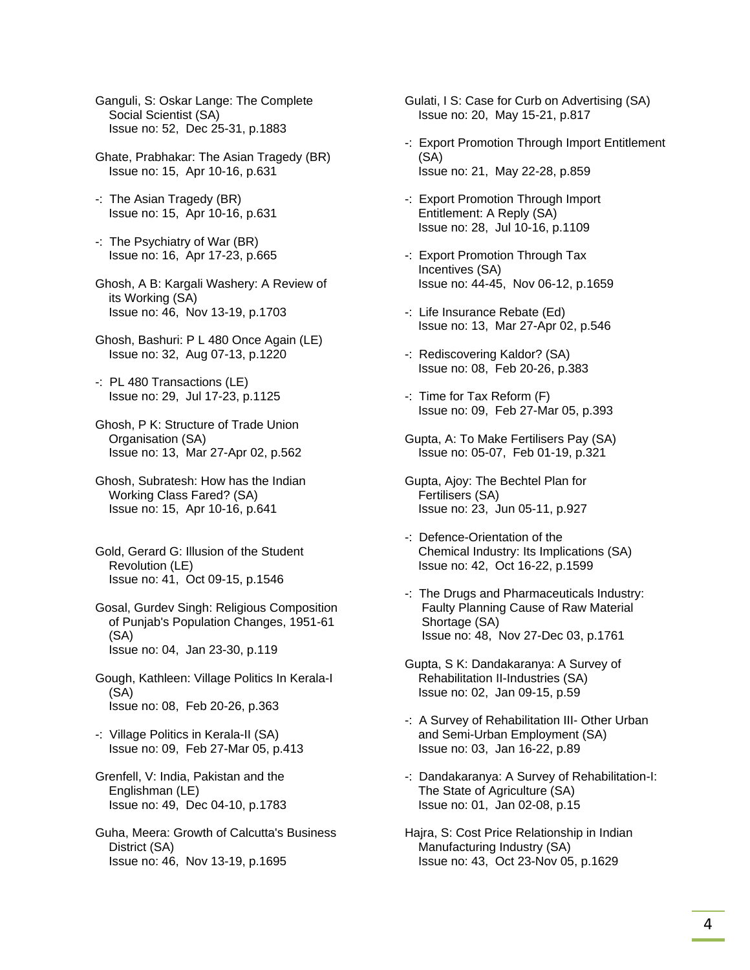- Ganguli, S: Oskar Lange: The Complete Social Scientist (SA) Issue no: 52, Dec 25-31, p.1883
- Ghate, Prabhakar: The Asian Tragedy (BR) Issue no: 15, Apr 10-16, p.631
- -: The Asian Tragedy (BR) Issue no: 15, Apr 10-16, p.631
- -: The Psychiatry of War (BR) Issue no: 16, Apr 17-23, p.665
- Ghosh, A B: Kargali Washery: A Review of its Working (SA) Issue no: 46, Nov 13-19, p.1703
- Ghosh, Bashuri: P L 480 Once Again (LE) Issue no: 32, Aug 07-13, p.1220
- -: PL 480 Transactions (LE) Issue no: 29, Jul 17-23, p.1125
- Ghosh, P K: Structure of Trade Union Organisation (SA) Issue no: 13, Mar 27-Apr 02, p.562
- Ghosh, Subratesh: How has the Indian Working Class Fared? (SA) Issue no: 15, Apr 10-16, p.641
- Gold, Gerard G: Illusion of the Student Revolution (LE) Issue no: 41, Oct 09-15, p.1546
- Gosal, Gurdev Singh: Religious Composition of Punjab's Population Changes, 1951-61 (SA) Issue no: 04, Jan 23-30, p.119
- Gough, Kathleen: Village Politics In Kerala-I (SA) Issue no: 08, Feb 20-26, p.363
- -: Village Politics in Kerala-II (SA) Issue no: 09, Feb 27-Mar 05, p.413
- Grenfell, V: India, Pakistan and the Englishman (LE) Issue no: 49, Dec 04-10, p.1783
- Guha, Meera: Growth of Calcutta's Business District (SA) Issue no: 46, Nov 13-19, p.1695
- Gulati, I S: Case for Curb on Advertising (SA) Issue no: 20, May 15-21, p.817
- -: Export Promotion Through Import Entitlement (SA) Issue no: 21, May 22-28, p.859
- -: Export Promotion Through Import Entitlement: A Reply (SA) Issue no: 28, Jul 10-16, p.1109
- -: Export Promotion Through Tax Incentives (SA) Issue no: 44-45, Nov 06-12, p.1659
- -: Life Insurance Rebate (Ed) Issue no: 13, Mar 27-Apr 02, p.546
- -: Rediscovering Kaldor? (SA) Issue no: 08, Feb 20-26, p.383
- -: Time for Tax Reform (F) Issue no: 09, Feb 27-Mar 05, p.393
- Gupta, A: To Make Fertilisers Pay (SA) Issue no: 05-07, Feb 01-19, p.321
- Gupta, Ajoy: The Bechtel Plan for Fertilisers (SA) Issue no: 23, Jun 05-11, p.927
- -: Defence-Orientation of the Chemical Industry: Its Implications (SA) Issue no: 42, Oct 16-22, p.1599
- -: The Drugs and Pharmaceuticals Industry: Faulty Planning Cause of Raw Material Shortage (SA) Issue no: 48, Nov 27-Dec 03, p.1761
- Gupta, S K: Dandakaranya: A Survey of Rehabilitation II-Industries (SA) Issue no: 02, Jan 09-15, p.59
- -: A Survey of Rehabilitation III- Other Urban and Semi-Urban Employment (SA) Issue no: 03, Jan 16-22, p.89
- -: Dandakaranya: A Survey of Rehabilitation-I: The State of Agriculture (SA) Issue no: 01, Jan 02-08, p.15
- Hajra, S: Cost Price Relationship in Indian Manufacturing Industry (SA) Issue no: 43, Oct 23-Nov 05, p.1629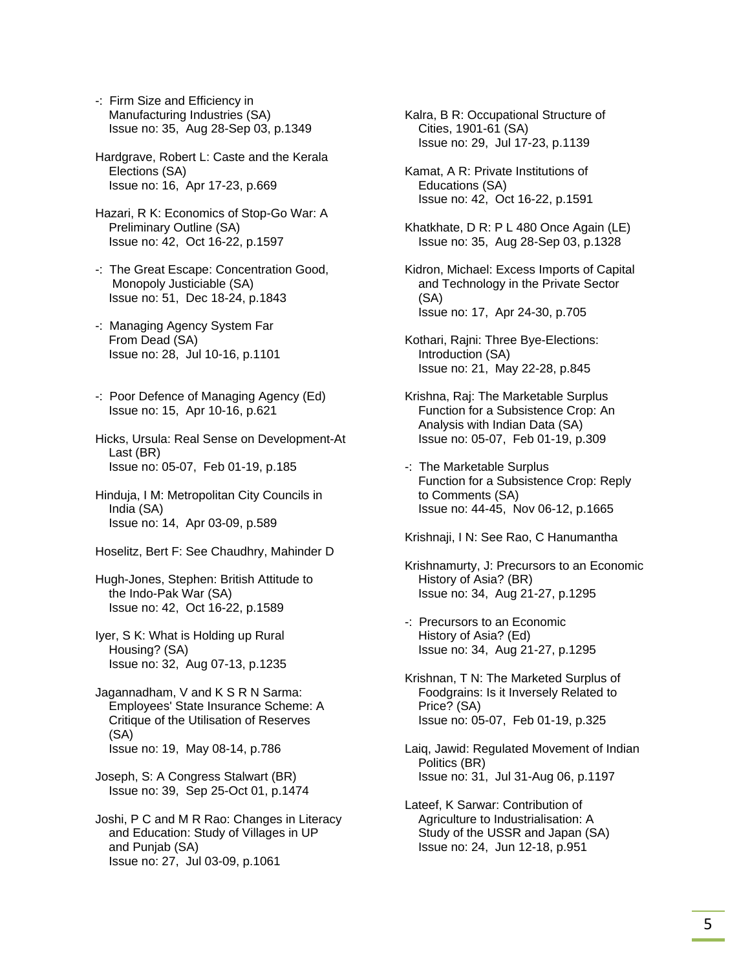- -: Firm Size and Efficiency in Manufacturing Industries (SA) Issue no: 35, Aug 28-Sep 03, p.1349
- Hardgrave, Robert L: Caste and the Kerala Elections (SA) Issue no: 16, Apr 17-23, p.669
- Hazari, R K: Economics of Stop-Go War: A Preliminary Outline (SA) Issue no: 42, Oct 16-22, p.1597
- -: The Great Escape: Concentration Good, Monopoly Justiciable (SA) Issue no: 51, Dec 18-24, p.1843
- -: Managing Agency System Far From Dead (SA) Issue no: 28, Jul 10-16, p.1101
- -: Poor Defence of Managing Agency (Ed) Issue no: 15, Apr 10-16, p.621
- Hicks, Ursula: Real Sense on Development-At Last (BR) Issue no: 05-07, Feb 01-19, p.185
- Hinduja, I M: Metropolitan City Councils in India (SA) Issue no: 14, Apr 03-09, p.589
- Hoselitz, Bert F: See Chaudhry, Mahinder D
- Hugh-Jones, Stephen: British Attitude to the Indo-Pak War (SA) Issue no: 42, Oct 16-22, p.1589
- Iyer, S K: What is Holding up Rural Housing? (SA) Issue no: 32, Aug 07-13, p.1235
- Jagannadham, V and K S R N Sarma: Employees' State Insurance Scheme: A Critique of the Utilisation of Reserves (SA) Issue no: 19, May 08-14, p.786
- Joseph, S: A Congress Stalwart (BR) Issue no: 39, Sep 25-Oct 01, p.1474
- Joshi, P C and M R Rao: Changes in Literacy and Education: Study of Villages in UP and Punjab (SA) Issue no: 27, Jul 03-09, p.1061
- Kalra, B R: Occupational Structure of Cities, 1901-61 (SA) Issue no: 29, Jul 17-23, p.1139
- Kamat, A R: Private Institutions of Educations (SA) Issue no: 42, Oct 16-22, p.1591
- Khatkhate, D R: P L 480 Once Again (LE) Issue no: 35, Aug 28-Sep 03, p.1328
- Kidron, Michael: Excess Imports of Capital and Technology in the Private Sector (SA) Issue no: 17, Apr 24-30, p.705
- Kothari, Rajni: Three Bye-Elections: Introduction (SA) Issue no: 21, May 22-28, p.845
- Krishna, Raj: The Marketable Surplus Function for a Subsistence Crop: An Analysis with Indian Data (SA) Issue no: 05-07, Feb 01-19, p.309
- -: The Marketable Surplus Function for a Subsistence Crop: Reply to Comments (SA) Issue no: 44-45, Nov 06-12, p.1665

Krishnaji, I N: See Rao, C Hanumantha

- Krishnamurty, J: Precursors to an Economic History of Asia? (BR) Issue no: 34, Aug 21-27, p.1295
- -: Precursors to an Economic History of Asia? (Ed) Issue no: 34, Aug 21-27, p.1295
- Krishnan, T N: The Marketed Surplus of Foodgrains: Is it Inversely Related to Price? (SA) Issue no: 05-07, Feb 01-19, p.325
- Laiq, Jawid: Regulated Movement of Indian Politics (BR) Issue no: 31, Jul 31-Aug 06, p.1197
- Lateef, K Sarwar: Contribution of Agriculture to Industrialisation: A Study of the USSR and Japan (SA) Issue no: 24, Jun 12-18, p.951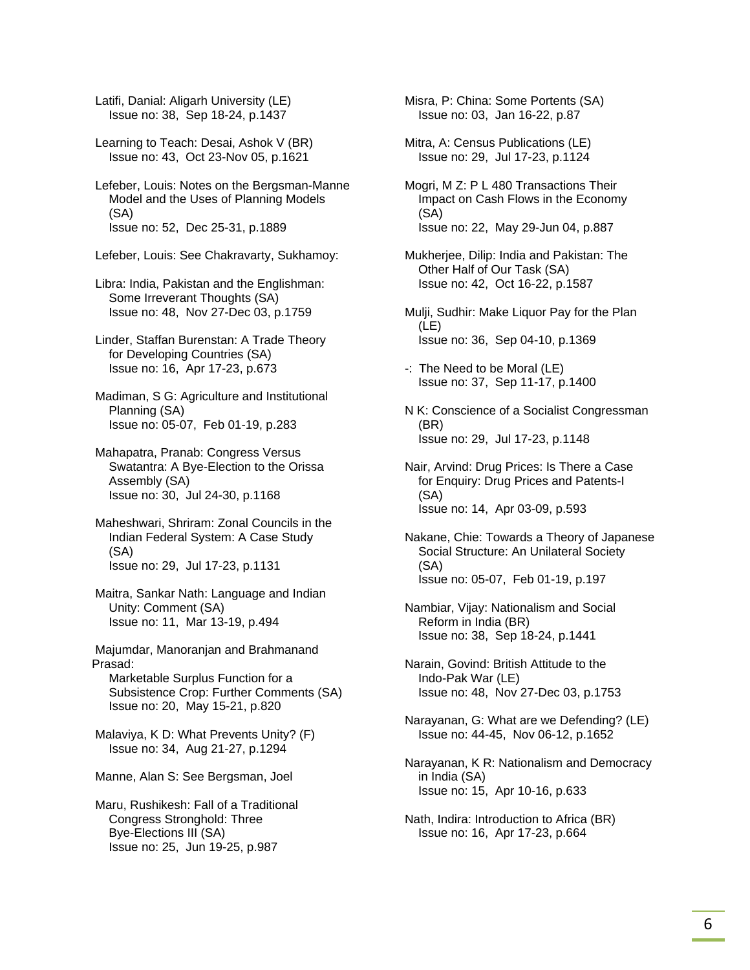Latifi, Danial: Aligarh University (LE) Issue no: 38, Sep 18-24, p.1437

 Learning to Teach: Desai, Ashok V (BR) Issue no: 43, Oct 23-Nov 05, p.1621

 Lefeber, Louis: Notes on the Bergsman-Manne Model and the Uses of Planning Models (SA) Issue no: 52, Dec 25-31, p.1889

Lefeber, Louis: See Chakravarty, Sukhamoy:

 Libra: India, Pakistan and the Englishman: Some Irreverant Thoughts (SA) Issue no: 48, Nov 27-Dec 03, p.1759

- Linder, Staffan Burenstan: A Trade Theory for Developing Countries (SA) Issue no: 16, Apr 17-23, p.673
- Madiman, S G: Agriculture and Institutional Planning (SA) Issue no: 05-07, Feb 01-19, p.283
- Mahapatra, Pranab: Congress Versus Swatantra: A Bye-Election to the Orissa Assembly (SA) Issue no: 30, Jul 24-30, p.1168

 Maheshwari, Shriram: Zonal Councils in the Indian Federal System: A Case Study (SA) Issue no: 29, Jul 17-23, p.1131

- Maitra, Sankar Nath: Language and Indian Unity: Comment (SA) Issue no: 11, Mar 13-19, p.494
- Majumdar, Manoranjan and Brahmanand Prasad:

 Marketable Surplus Function for a Subsistence Crop: Further Comments (SA) Issue no: 20, May 15-21, p.820

- Malaviya, K D: What Prevents Unity? (F) Issue no: 34, Aug 21-27, p.1294
- Manne, Alan S: See Bergsman, Joel

 Maru, Rushikesh: Fall of a Traditional Congress Stronghold: Three Bye-Elections III (SA) Issue no: 25, Jun 19-25, p.987

 Misra, P: China: Some Portents (SA) Issue no: 03, Jan 16-22, p.87

- Mitra, A: Census Publications (LE) Issue no: 29, Jul 17-23, p.1124
- Mogri, M Z: P L 480 Transactions Their Impact on Cash Flows in the Economy (SA) Issue no: 22, May 29-Jun 04, p.887
- Mukherjee, Dilip: India and Pakistan: The Other Half of Our Task (SA) Issue no: 42, Oct 16-22, p.1587
- Mulji, Sudhir: Make Liquor Pay for the Plan (LE) Issue no: 36, Sep 04-10, p.1369
- -: The Need to be Moral (LE) Issue no: 37, Sep 11-17, p.1400
- N K: Conscience of a Socialist Congressman (BR) Issue no: 29, Jul 17-23, p.1148

 Nair, Arvind: Drug Prices: Is There a Case for Enquiry: Drug Prices and Patents-I (SA) Issue no: 14, Apr 03-09, p.593

 Nakane, Chie: Towards a Theory of Japanese Social Structure: An Unilateral Society (SA) Issue no: 05-07, Feb 01-19, p.197

- Nambiar, Vijay: Nationalism and Social Reform in India (BR) Issue no: 38, Sep 18-24, p.1441
- Narain, Govind: British Attitude to the Indo-Pak War (LE) Issue no: 48, Nov 27-Dec 03, p.1753

 Narayanan, G: What are we Defending? (LE) Issue no: 44-45, Nov 06-12, p.1652

- Narayanan, K R: Nationalism and Democracy in India (SA) Issue no: 15, Apr 10-16, p.633
- Nath, Indira: Introduction to Africa (BR) Issue no: 16, Apr 17-23, p.664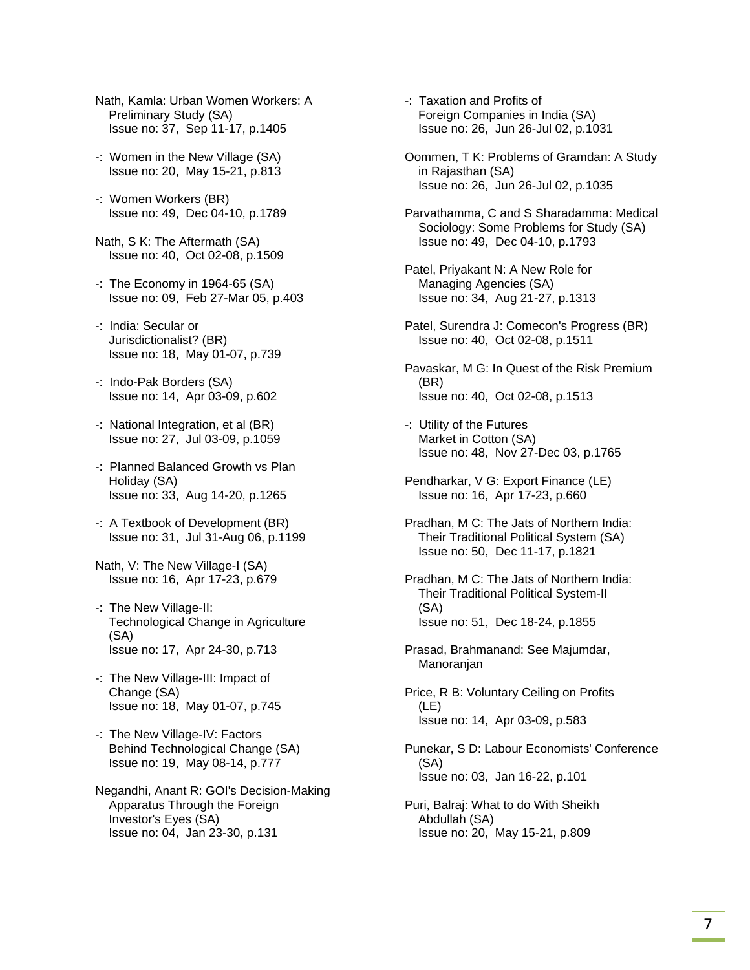- Nath, Kamla: Urban Women Workers: A Preliminary Study (SA) Issue no: 37, Sep 11-17, p.1405
- -: Women in the New Village (SA) Issue no: 20, May 15-21, p.813
- -: Women Workers (BR) Issue no: 49, Dec 04-10, p.1789
- Nath, S K: The Aftermath (SA) Issue no: 40, Oct 02-08, p.1509
- -: The Economy in 1964-65 (SA) Issue no: 09, Feb 27-Mar 05, p.403
- -: India: Secular or Jurisdictionalist? (BR) Issue no: 18, May 01-07, p.739
- -: Indo-Pak Borders (SA) Issue no: 14, Apr 03-09, p.602
- -: National Integration, et al (BR) Issue no: 27, Jul 03-09, p.1059
- -: Planned Balanced Growth vs Plan Holiday (SA) Issue no: 33, Aug 14-20, p.1265
- -: A Textbook of Development (BR) Issue no: 31, Jul 31-Aug 06, p.1199
- Nath, V: The New Village-I (SA) Issue no: 16, Apr 17-23, p.679
- -: The New Village-II: Technological Change in Agriculture (SA) Issue no: 17, Apr 24-30, p.713
- -: The New Village-III: Impact of Change (SA) Issue no: 18, May 01-07, p.745
- -: The New Village-IV: Factors Behind Technological Change (SA) Issue no: 19, May 08-14, p.777
- Negandhi, Anant R: GOI's Decision-Making Apparatus Through the Foreign Investor's Eyes (SA) Issue no: 04, Jan 23-30, p.131

 -: Taxation and Profits of Foreign Companies in India (SA) Issue no: 26, Jun 26-Jul 02, p.1031

- Oommen, T K: Problems of Gramdan: A Study in Rajasthan (SA) Issue no: 26, Jun 26-Jul 02, p.1035
- Parvathamma, C and S Sharadamma: Medical Sociology: Some Problems for Study (SA) Issue no: 49, Dec 04-10, p.1793
- Patel, Priyakant N: A New Role for Managing Agencies (SA) Issue no: 34, Aug 21-27, p.1313
- Patel, Surendra J: Comecon's Progress (BR) Issue no: 40, Oct 02-08, p.1511
- Pavaskar, M G: In Quest of the Risk Premium (BR) Issue no: 40, Oct 02-08, p.1513
- -: Utility of the Futures Market in Cotton (SA) Issue no: 48, Nov 27-Dec 03, p.1765
- Pendharkar, V G: Export Finance (LE) Issue no: 16, Apr 17-23, p.660
- Pradhan, M C: The Jats of Northern India: Their Traditional Political System (SA) Issue no: 50, Dec 11-17, p.1821
- Pradhan, M C: The Jats of Northern India: Their Traditional Political System-II (SA) Issue no: 51, Dec 18-24, p.1855
- Prasad, Brahmanand: See Majumdar, Manoranjan
- Price, R B: Voluntary Ceiling on Profits (LE) Issue no: 14, Apr 03-09, p.583
- Punekar, S D: Labour Economists' Conference (SA) Issue no: 03, Jan 16-22, p.101
- Puri, Balraj: What to do With Sheikh Abdullah (SA) Issue no: 20, May 15-21, p.809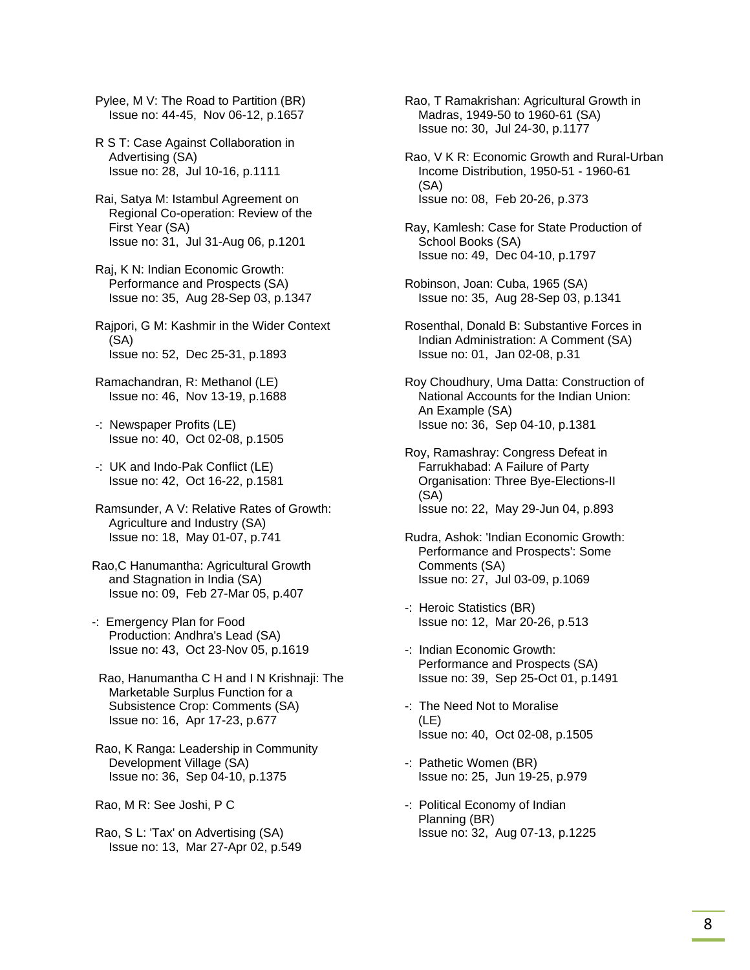Pylee, M V: The Road to Partition (BR) Issue no: 44-45, Nov 06-12, p.1657

 R S T: Case Against Collaboration in Advertising (SA) Issue no: 28, Jul 10-16, p.1111

 Rai, Satya M: Istambul Agreement on Regional Co-operation: Review of the First Year (SA) Issue no: 31, Jul 31-Aug 06, p.1201

 Raj, K N: Indian Economic Growth: Performance and Prospects (SA) Issue no: 35, Aug 28-Sep 03, p.1347

 Rajpori, G M: Kashmir in the Wider Context (SA) Issue no: 52, Dec 25-31, p.1893

 Ramachandran, R: Methanol (LE) Issue no: 46, Nov 13-19, p.1688

 -: Newspaper Profits (LE) Issue no: 40, Oct 02-08, p.1505

 -: UK and Indo-Pak Conflict (LE) Issue no: 42, Oct 16-22, p.1581

 Ramsunder, A V: Relative Rates of Growth: Agriculture and Industry (SA) Issue no: 18, May 01-07, p.741

Rao,C Hanumantha: Agricultural Growth and Stagnation in India (SA) Issue no: 09, Feb 27-Mar 05, p.407

-: Emergency Plan for Food Production: Andhra's Lead (SA) Issue no: 43, Oct 23-Nov 05, p.1619

 Rao, Hanumantha C H and I N Krishnaji: The Marketable Surplus Function for a Subsistence Crop: Comments (SA) Issue no: 16, Apr 17-23, p.677

 Rao, K Ranga: Leadership in Community Development Village (SA) Issue no: 36, Sep 04-10, p.1375

Rao, M R: See Joshi, P C

 Rao, S L: 'Tax' on Advertising (SA) Issue no: 13, Mar 27-Apr 02, p.549  Rao, T Ramakrishan: Agricultural Growth in Madras, 1949-50 to 1960-61 (SA) Issue no: 30, Jul 24-30, p.1177

 Rao, V K R: Economic Growth and Rural-Urban Income Distribution, 1950-51 - 1960-61 (SA) Issue no: 08, Feb 20-26, p.373

 Ray, Kamlesh: Case for State Production of School Books (SA) Issue no: 49, Dec 04-10, p.1797

 Robinson, Joan: Cuba, 1965 (SA) Issue no: 35, Aug 28-Sep 03, p.1341

 Rosenthal, Donald B: Substantive Forces in Indian Administration: A Comment (SA) Issue no: 01, Jan 02-08, p.31

 Roy Choudhury, Uma Datta: Construction of National Accounts for the Indian Union: An Example (SA) Issue no: 36, Sep 04-10, p.1381

 Roy, Ramashray: Congress Defeat in Farrukhabad: A Failure of Party Organisation: Three Bye-Elections-II (SA) Issue no: 22, May 29-Jun 04, p.893

 Rudra, Ashok: 'Indian Economic Growth: Performance and Prospects': Some Comments (SA) Issue no: 27, Jul 03-09, p.1069

 -: Heroic Statistics (BR) Issue no: 12, Mar 20-26, p.513

 -: Indian Economic Growth: Performance and Prospects (SA) Issue no: 39, Sep 25-Oct 01, p.1491

 -: The Need Not to Moralise (LE) Issue no: 40, Oct 02-08, p.1505

 -: Pathetic Women (BR) Issue no: 25, Jun 19-25, p.979

 -: Political Economy of Indian Planning (BR) Issue no: 32, Aug 07-13, p.1225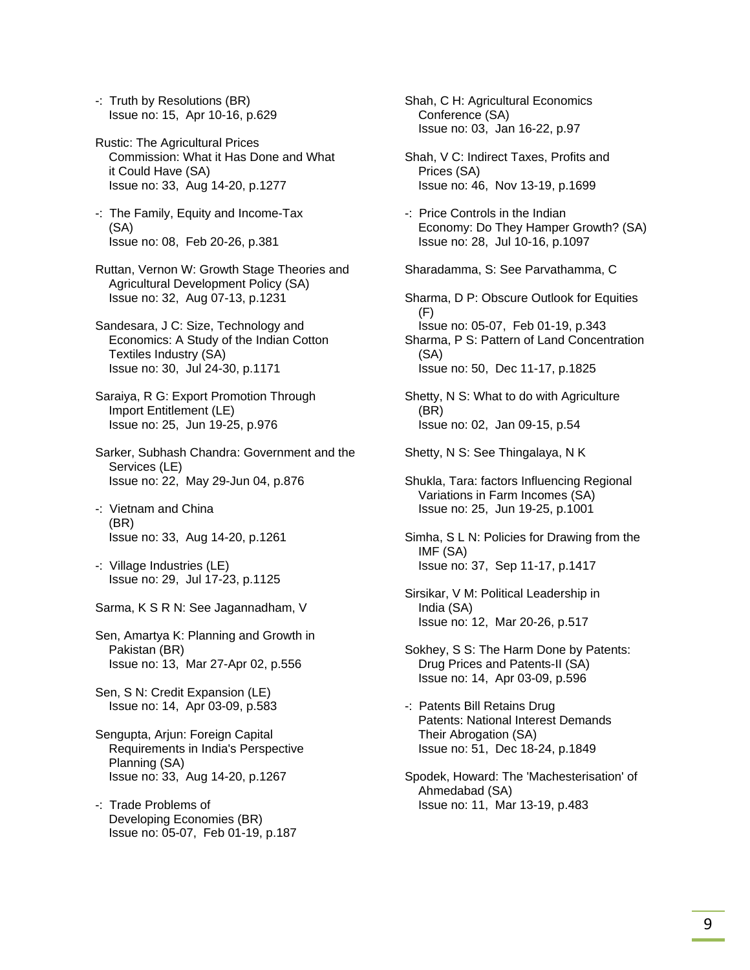- -: Truth by Resolutions (BR) Issue no: 15, Apr 10-16, p.629
- Rustic: The Agricultural Prices Commission: What it Has Done and What it Could Have (SA) Issue no: 33, Aug 14-20, p.1277
- -: The Family, Equity and Income-Tax (SA) Issue no: 08, Feb 20-26, p.381
- Ruttan, Vernon W: Growth Stage Theories and Agricultural Development Policy (SA) Issue no: 32, Aug 07-13, p.1231
- Sandesara, J C: Size, Technology and Economics: A Study of the Indian Cotton Textiles Industry (SA) Issue no: 30, Jul 24-30, p.1171
- Saraiya, R G: Export Promotion Through Import Entitlement (LE) Issue no: 25, Jun 19-25, p.976
- Sarker, Subhash Chandra: Government and the Services (LE) Issue no: 22, May 29-Jun 04, p.876
- -: Vietnam and China (BR) Issue no: 33, Aug 14-20, p.1261
- -: Village Industries (LE) Issue no: 29, Jul 17-23, p.1125
- Sarma, K S R N: See Jagannadham, V
- Sen, Amartya K: Planning and Growth in Pakistan (BR) Issue no: 13, Mar 27-Apr 02, p.556
- Sen, S N: Credit Expansion (LE) Issue no: 14, Apr 03-09, p.583
- Sengupta, Arjun: Foreign Capital Requirements in India's Perspective Planning (SA) Issue no: 33, Aug 14-20, p.1267
- -: Trade Problems of Developing Economies (BR) Issue no: 05-07, Feb 01-19, p.187

 Shah, C H: Agricultural Economics Conference (SA) Issue no: 03, Jan 16-22, p.97

- Shah, V C: Indirect Taxes, Profits and Prices (SA) Issue no: 46, Nov 13-19, p.1699
- -: Price Controls in the Indian Economy: Do They Hamper Growth? (SA) Issue no: 28, Jul 10-16, p.1097
- Sharadamma, S: See Parvathamma, C
- Sharma, D P: Obscure Outlook for Equities (F) Issue no: 05-07, Feb 01-19, p.343 Sharma, P S: Pattern of Land Concentration (SA) Issue no: 50, Dec 11-17, p.1825
- Shetty, N S: What to do with Agriculture (BR) Issue no: 02, Jan 09-15, p.54
- Shetty, N S: See Thingalaya, N K
- Shukla, Tara: factors Influencing Regional Variations in Farm Incomes (SA) Issue no: 25, Jun 19-25, p.1001
- Simha, S L N: Policies for Drawing from the IMF (SA) Issue no: 37, Sep 11-17, p.1417
- Sirsikar, V M: Political Leadership in India (SA) Issue no: 12, Mar 20-26, p.517
- Sokhey, S S: The Harm Done by Patents: Drug Prices and Patents-II (SA) Issue no: 14, Apr 03-09, p.596
- -: Patents Bill Retains Drug Patents: National Interest Demands Their Abrogation (SA) Issue no: 51, Dec 18-24, p.1849
- Spodek, Howard: The 'Machesterisation' of Ahmedabad (SA) Issue no: 11, Mar 13-19, p.483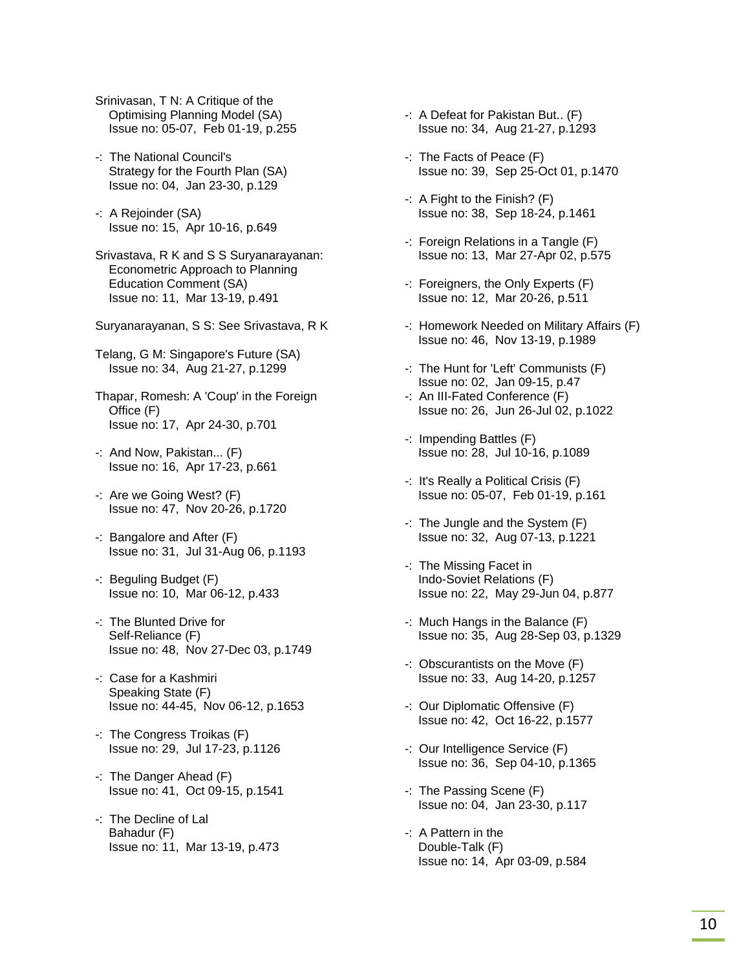- Srinivasan, T N: A Critique of the Optimising Planning Model (SA) Issue no: 05-07, Feb 01-19, p.255
- -: The National Council's Strategy for the Fourth Plan (SA) Issue no: 04, Jan 23-30, p.129
- -: A Rejoinder (SA) Issue no: 15, Apr 10-16, p.649
- Srivastava, R K and S S Suryanarayanan: Econometric Approach to Planning Education Comment (SA) Issue no: 11, Mar 13-19, p.491
- Suryanarayanan, S S: See Srivastava, R K
- Telang, G M: Singapore's Future (SA) Issue no: 34, Aug 21-27, p.1299
- Thapar, Romesh: A 'Coup' in the Foreign Office (F) Issue no: 17, Apr 24-30, p.701
- -: And Now, Pakistan... (F) Issue no: 16, Apr 17-23, p.661
- -: Are we Going West? (F) Issue no: 47, Nov 20-26, p.1720
- -: Bangalore and After (F) Issue no: 31, Jul 31-Aug 06, p.1193
- -: Beguling Budget (F) Issue no: 10, Mar 06-12, p.433
- -: The Blunted Drive for Self-Reliance (F) Issue no: 48, Nov 27-Dec 03, p.1749
- -: Case for a Kashmiri Speaking State (F) Issue no: 44-45, Nov 06-12, p.1653
- -: The Congress Troikas (F) Issue no: 29, Jul 17-23, p.1126
- -: The Danger Ahead (F) Issue no: 41, Oct 09-15, p.1541
- -: The Decline of Lal Bahadur (F) Issue no: 11, Mar 13-19, p.473
- -: A Defeat for Pakistan But.. (F) Issue no: 34, Aug 21-27, p.1293
- -: The Facts of Peace (F) Issue no: 39, Sep 25-Oct 01, p.1470
- -: A Fight to the Finish? (F) Issue no: 38, Sep 18-24, p.1461
- -: Foreign Relations in a Tangle (F) Issue no: 13, Mar 27-Apr 02, p.575
- -: Foreigners, the Only Experts (F) Issue no: 12, Mar 20-26, p.511
- -: Homework Needed on Military Affairs (F) Issue no: 46, Nov 13-19, p.1989
- -: The Hunt for 'Left' Communists (F) Issue no: 02, Jan 09-15, p.47 -: An III-Fated Conference (F)
- Issue no: 26, Jun 26-Jul 02, p.1022
- -: Impending Battles (F) Issue no: 28, Jul 10-16, p.1089
- -: It's Really a Political Crisis (F) Issue no: 05-07, Feb 01-19, p.161
- -: The Jungle and the System (F) Issue no: 32, Aug 07-13, p.1221
- -: The Missing Facet in Indo-Soviet Relations (F) Issue no: 22, May 29-Jun 04, p.877
- -: Much Hangs in the Balance (F) Issue no: 35, Aug 28-Sep 03, p.1329
- -: Obscurantists on the Move (F) Issue no: 33, Aug 14-20, p.1257
- -: Our Diplomatic Offensive (F) Issue no: 42, Oct 16-22, p.1577
- -: Our Intelligence Service (F) Issue no: 36, Sep 04-10, p.1365
- -: The Passing Scene (F) Issue no: 04, Jan 23-30, p.117
- -: A Pattern in the Double-Talk (F) Issue no: 14, Apr 03-09, p.584